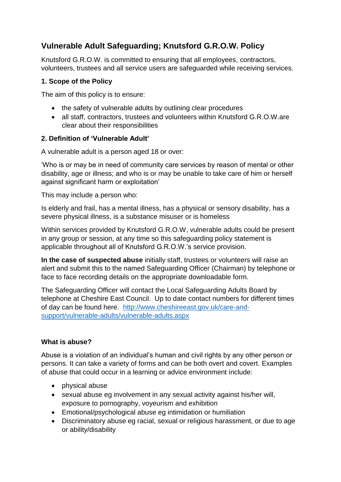# **Vulnerable Adult Safeguarding; Knutsford G.R.O.W. Policy**

Knutsford G.R.O.W. is committed to ensuring that all employees, contractors, volunteers, trustees and all service users are safeguarded while receiving services.

#### **1. Scope of the Policy**

The aim of this policy is to ensure:

- the safety of vulnerable adults by outlining clear procedures
- all staff, contractors, trustees and volunteers within Knutsford G.R.O.W.are clear about their responsibilities

#### **2. Definition of 'Vulnerable Adult'**

A vulnerable adult is a person aged 18 or over:

'Who is or may be in need of community care services by reason of mental or other disability, age or illness; and who is or may be unable to take care of him or herself against significant harm or exploitation'

This may include a person who:

Is elderly and frail, has a mental illness, has a physical or sensory disability, has a severe physical illness, is a substance misuser or is homeless

Within services provided by Knutsford G.R.O.W, vulnerable adults could be present in any group or session, at any time so this safeguarding policy statement is applicable throughout all of Knutsford G.R.O.W.'s service provision.

**In the case of suspected abuse** initially staff, trustees or volunteers will raise an alert and submit this to the named Safeguarding Officer (Chairman) by telephone or face to face recording details on the appropriate downloadable form.

The Safeguarding Officer will contact the Local Safeguarding Adults Board by telephone at Cheshire East Council. Up to date contact numbers for different times of day can be found here. [http://www.cheshireeast.gov.uk/care-and](http://www.cheshireeast.gov.uk/care-and-support/vulnerable-adults/vulnerable-adults.aspx)[support/vulnerable-adults/vulnerable-adults.aspx](http://www.cheshireeast.gov.uk/care-and-support/vulnerable-adults/vulnerable-adults.aspx)

#### **What is abuse?**

Abuse is a violation of an individual's human and civil rights by any other person or persons. It can take a variety of forms and can be both overt and covert. Examples of abuse that could occur in a learning or advice environment include:

- physical abuse
- sexual abuse eg involvement in any sexual activity against his/her will, exposure to pornography, voyeurism and exhibition
- Emotional/psychological abuse eg intimidation or humiliation
- Discriminatory abuse eg racial, sexual or religious harassment, or due to age or ability/disability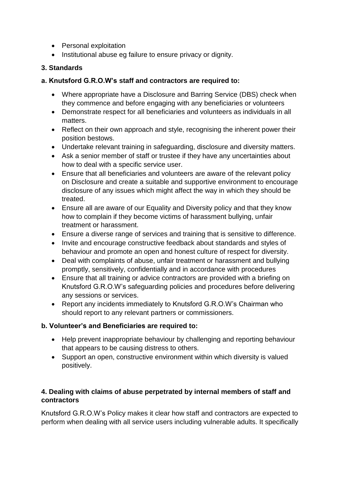- Personal exploitation
- Institutional abuse eg failure to ensure privacy or dignity.

## **3. Standards**

## **a. Knutsford G.R.O.W's staff and contractors are required to:**

- Where appropriate have a Disclosure and Barring Service (DBS) check when they commence and before engaging with any beneficiaries or volunteers
- Demonstrate respect for all beneficiaries and volunteers as individuals in all matters.
- Reflect on their own approach and style, recognising the inherent power their position bestows.
- Undertake relevant training in safeguarding, disclosure and diversity matters.
- Ask a senior member of staff or trustee if they have any uncertainties about how to deal with a specific service user.
- Ensure that all beneficiaries and volunteers are aware of the relevant policy on Disclosure and create a suitable and supportive environment to encourage disclosure of any issues which might affect the way in which they should be treated.
- Ensure all are aware of our Equality and Diversity policy and that they know how to complain if they become victims of harassment bullying, unfair treatment or harassment.
- Ensure a diverse range of services and training that is sensitive to difference.
- Invite and encourage constructive feedback about standards and styles of behaviour and promote an open and honest culture of respect for diversity.
- Deal with complaints of abuse, unfair treatment or harassment and bullying promptly, sensitively, confidentially and in accordance with procedures
- Ensure that all training or advice contractors are provided with a briefing on Knutsford G.R.O.W's safeguarding policies and procedures before delivering any sessions or services.
- Report any incidents immediately to Knutsford G.R.O.W's Chairman who should report to any relevant partners or commissioners.

# **b. Volunteer's and Beneficiaries are required to:**

- Help prevent inappropriate behaviour by challenging and reporting behaviour that appears to be causing distress to others.
- Support an open, constructive environment within which diversity is valued positively.

# **4. Dealing with claims of abuse perpetrated by internal members of staff and contractors**

Knutsford G.R.O.W's Policy makes it clear how staff and contractors are expected to perform when dealing with all service users including vulnerable adults. It specifically